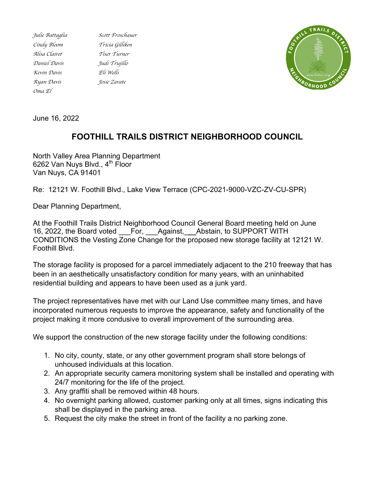*Cindy Bloom Tricia Gilliken Alisa Clairet Tiser Turner Daniel Davis Judi Trujillo Kevin Davis Eli Wells Ryan Davis Josie Zarate Oma El*

*Julie Battaglia Scott Froschauer*



June 16, 2022

## **FOOTHILL TRAILS DISTRICT NEIGHBORHOOD COUNCIL**

North Valley Area Planning Department 6262 Van Nuys Blvd.,  $4^{th}$  Floor Van Nuys, CA 91401

Re: 12121 W. Foothill Blvd., Lake View Terrace (CPC-2021-9000-VZC-ZV-CU-SPR)

Dear Planning Department,

At the Foothill Trails District Neighborhood Council General Board meeting held on June 16, 2022, the Board voted For, Against, Abstain, to SUPPORT WITH CONDITIONS the Vesting Zone Change for the proposed new storage facility at 12121 W. Foothill Blvd.

The storage facility is proposed for a parcel immediately adjacent to the 210 freeway that has been in an aesthetically unsatisfactory condition for many years, with an uninhabited residential building and appears to have been used as a junk yard.

The project representatives have met with our Land Use committee many times, and have incorporated numerous requests to improve the appearance, safety and functionality of the project making it more condusive to overall improvement of the surrounding area.

We support the construction of the new storage facility under the following conditions:

- 1. No city, county, state, or any other government program shall store belongs of unhoused individuals at this location.
- 2. An appropriate security camera monitoring system shall be installed and operating with 24/7 monitoring for the life of the project.
- 3. Any graffiti shall be removed within 48 hours.
- 4. No overnight parking allowed, customer parking only at all times, signs indicating this shall be displayed in the parking area.
- 5. Request the city make the street in front of the facility a no parking zone.